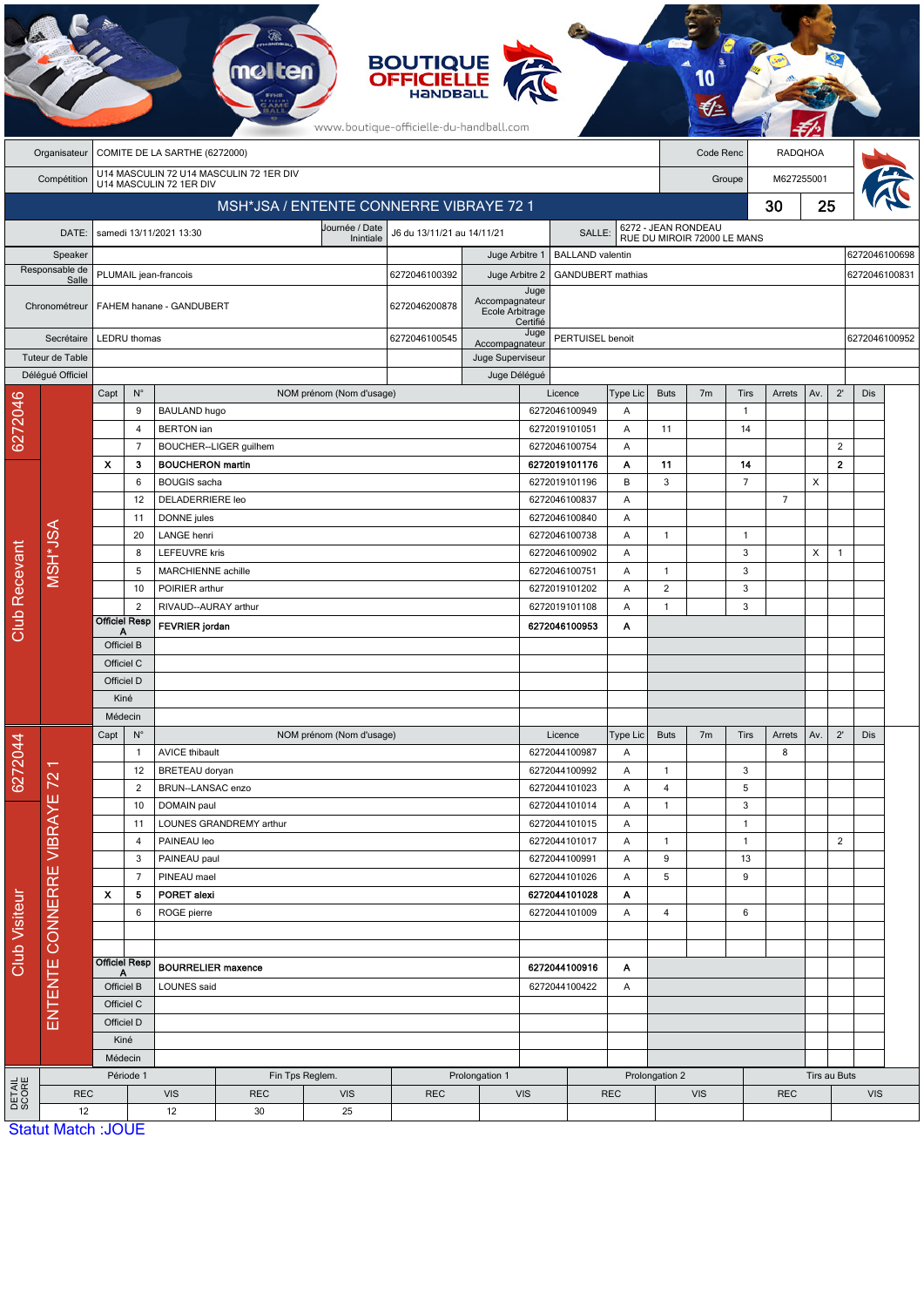|                         |                                                            |                                         |                             |                                                                    | <b>molten</b>           |                          | <b>BOUTIQUE<br/>OFFICIELLE</b><br>www.boutique-officielle-du-handball.com |                                                       |               |                                |                |                             |                |                      |                |               |                |               |  |
|-------------------------|------------------------------------------------------------|-----------------------------------------|-----------------------------|--------------------------------------------------------------------|-------------------------|--------------------------|---------------------------------------------------------------------------|-------------------------------------------------------|---------------|--------------------------------|----------------|-----------------------------|----------------|----------------------|----------------|---------------|----------------|---------------|--|
|                         | COMITE DE LA SARTHE (6272000)<br>Organisateur<br>Code Renc |                                         |                             |                                                                    |                         |                          |                                                                           |                                                       |               |                                | <b>RADQHOA</b> |                             |                |                      |                |               |                |               |  |
|                         | Compétition                                                |                                         |                             | U14 MASCULIN 72 U14 MASCULIN 72 1ER DIV<br>U14 MASCULIN 72 1ER DIV |                         |                          |                                                                           |                                                       |               |                                |                | M627255001<br>Groupe        |                |                      |                |               |                |               |  |
|                         |                                                            | MSH*JSA / ENTENTE CONNERRE VIBRAYE 72 1 |                             |                                                                    |                         |                          |                                                                           |                                                       |               |                                |                |                             |                |                      | 30             | 25            |                |               |  |
|                         | DATE:                                                      |                                         |                             | samedi 13/11/2021 13:30                                            |                         | Journée / Date           | J6 du 13/11/21 au 14/11/21<br>SALLE:                                      |                                                       |               |                                |                | 6272 - JEAN RONDEAU         |                |                      |                |               |                |               |  |
| Speaker                 |                                                            |                                         |                             |                                                                    |                         | Inintiale                |                                                                           | Juge Arbitre 1                                        |               | <b>BALLAND</b> valentin        |                | RUE DU MIROIR 72000 LE MANS |                |                      |                |               |                | 6272046100698 |  |
| Responsable de<br>Salle |                                                            | PLUMAIL jean-francois                   |                             |                                                                    |                         |                          | 6272046100392                                                             | Juge Arbitre 2                                        |               | GANDUBERT mathias              |                |                             |                |                      |                | 6272046100831 |                |               |  |
|                         | Chronométreur                                              |                                         |                             | FAHEM hanane - GANDUBERT                                           |                         |                          | 6272046200878                                                             | Juge<br>Accompagnateur<br>Ecole Arbitrage<br>Certifié |               |                                |                |                             |                |                      |                |               |                |               |  |
| Secrétaire              |                                                            |                                         | LEDRU thomas                |                                                                    |                         |                          | 6272046100545                                                             | Accompagnateur                                        | Juge          | PERTUISEL benoit               |                |                             |                |                      |                |               |                | 6272046100952 |  |
| Tuteur de Table         |                                                            |                                         |                             |                                                                    |                         |                          |                                                                           | Juge Superviseur                                      |               |                                |                |                             |                |                      |                |               |                |               |  |
|                         | Déléqué Officiel                                           |                                         |                             |                                                                    |                         |                          |                                                                           | Juge Délégué                                          |               |                                |                |                             |                |                      |                |               |                |               |  |
|                         |                                                            | Capt                                    | $\mathsf{N}^\circ$          |                                                                    |                         | NOM prénom (Nom d'usage) |                                                                           |                                                       |               | Licence                        | Type Lic       | <b>Buts</b>                 | 7 <sub>m</sub> | <b>Tirs</b>          | Arrets         | Av.           | $2^{\prime}$   | Dis           |  |
| 6272046                 |                                                            |                                         | 9<br>4                      | <b>BAULAND hugo</b><br><b>BERTON</b> ian                           |                         |                          |                                                                           |                                                       |               | 6272046100949<br>6272019101051 | Α<br>A         | 11                          |                | $\overline{1}$<br>14 |                |               |                |               |  |
|                         |                                                            |                                         | $\overline{7}$              |                                                                    | BOUCHER--LIGER quilhem  |                          |                                                                           |                                                       |               | 6272046100754                  | Α              |                             |                |                      |                |               | $\overline{2}$ |               |  |
|                         |                                                            | X                                       | 3                           | <b>BOUCHERON martin</b>                                            |                         |                          |                                                                           |                                                       |               | 6272019101176                  | Α              | 11                          |                | 14                   |                |               | $\mathbf{2}$   |               |  |
|                         |                                                            |                                         | 6                           | <b>BOUGIS</b> sacha                                                |                         |                          | 6272019101196                                                             |                                                       | B             | 3                              |                | $\overline{7}$              |                | X                    |                |               |                |               |  |
|                         |                                                            |                                         | 12                          | <b>DELADERRIERE leo</b>                                            |                         |                          |                                                                           |                                                       |               | 6272046100837                  | A              |                             |                |                      | $\overline{7}$ |               |                |               |  |
|                         | MSH*JSA                                                    | 11                                      |                             | DONNE jules                                                        |                         |                          |                                                                           |                                                       | 6272046100840 |                                | Α              |                             |                |                      |                |               |                |               |  |
|                         |                                                            |                                         | 20                          | LANGE henri                                                        |                         |                          |                                                                           |                                                       | 6272046100738 | Α                              | $\mathbf{1}$   |                             | $\overline{1}$ |                      |                |               |                |               |  |
|                         |                                                            |                                         | 8<br>5                      | <b>LEFEUVRE</b> kris<br>MARCHIENNE achille                         |                         |                          |                                                                           |                                                       |               | 6272046100902<br>6272046100751 | Α<br>A         | $\mathbf{1}$                |                | 3<br>3               |                | X             | $\overline{1}$ |               |  |
|                         |                                                            |                                         | 10                          | POIRIER arthur                                                     |                         |                          |                                                                           |                                                       |               | 6272019101202                  | Α              | $\overline{\mathbf{c}}$     |                | 3                    |                |               |                |               |  |
|                         |                                                            |                                         | $\overline{2}$              | RIVAUD--AURAY arthur                                               |                         |                          |                                                                           |                                                       |               | 6272019101108                  | A              | $\mathbf{1}$                |                | 3                    |                |               |                |               |  |
| Club Recevant           |                                                            |                                         | <b>Officiel Resp</b>        | <b>FEVRIER</b> jordan                                              |                         |                          | 6272046100953<br>Α                                                        |                                                       |               |                                |                |                             |                |                      |                |               |                |               |  |
|                         |                                                            | Officiel B                              |                             |                                                                    |                         |                          |                                                                           |                                                       |               |                                |                |                             |                |                      |                |               |                |               |  |
|                         |                                                            | Officiel C                              |                             |                                                                    |                         |                          |                                                                           |                                                       |               |                                |                |                             |                |                      |                |               |                |               |  |
|                         |                                                            | Officiel D                              |                             |                                                                    |                         |                          |                                                                           |                                                       |               |                                |                |                             |                |                      |                |               |                |               |  |
|                         |                                                            | Kiné                                    |                             |                                                                    |                         |                          |                                                                           |                                                       |               |                                |                |                             |                |                      |                |               |                |               |  |
|                         | Π<br>72                                                    | Médecin<br>Capt<br>$N^{\circ}$          |                             | NOM prénom (Nom d'usage)                                           |                         |                          |                                                                           |                                                       |               | Licence                        |                | <b>Buts</b>                 |                | Tirs                 | Arrets         | Av.           | $2^{\prime}$   | Dis           |  |
|                         |                                                            |                                         | <b>AVICE thibault</b><br>-1 |                                                                    |                         |                          |                                                                           |                                                       | 6272044100987 |                                | Type Lic<br>Α  |                             | 7 <sub>m</sub> |                      | 8              |               |                |               |  |
| 6272044                 |                                                            | 12                                      |                             | BRETEAU doryan                                                     |                         |                          |                                                                           |                                                       | 6272044100992 |                                | Α              | 1                           |                | 3                    |                |               |                |               |  |
|                         |                                                            | $\overline{2}$                          |                             | BRUN--LANSAC enzo                                                  |                         |                          |                                                                           |                                                       |               | 6272044101023                  |                | 4                           |                | 5                    |                |               |                |               |  |
|                         |                                                            | 10                                      |                             | DOMAIN paul                                                        |                         |                          |                                                                           |                                                       |               | 6272044101014                  | Α              | $\mathbf{1}$                |                | 3                    |                |               |                |               |  |
|                         |                                                            |                                         | 11                          |                                                                    | LOUNES GRANDREMY arthur |                          |                                                                           |                                                       |               | 6272044101015                  | Α              |                             |                | $\overline{1}$       |                |               |                |               |  |
|                         |                                                            |                                         | 4                           | PAINEAU leo                                                        |                         |                          |                                                                           |                                                       |               | 6272044101017                  | Α              | $\mathbf{1}$<br>9           |                | $\overline{1}$       |                |               | $\overline{2}$ |               |  |
|                         | ENTENTE CONNERRE VIBRAYE                                   |                                         | 3<br>$\overline{7}$         | PAINEAU paul<br>PINEAU mael                                        |                         |                          |                                                                           |                                                       |               | 6272044100991<br>6272044101026 | Α<br>Α         | 5                           |                | 13<br>9              |                |               |                |               |  |
|                         |                                                            | x                                       | 5                           | <b>PORET alexi</b>                                                 |                         |                          |                                                                           |                                                       | 6272044101028 |                                | Α              |                             |                |                      |                |               |                |               |  |
|                         |                                                            |                                         | 6                           | ROGE pierre                                                        |                         |                          |                                                                           |                                                       | 6272044101009 |                                | Α              | 4                           |                | 6                    |                |               |                |               |  |
| Club Visiteur           |                                                            |                                         |                             |                                                                    |                         |                          |                                                                           |                                                       |               |                                |                |                             |                |                      |                |               |                |               |  |
|                         |                                                            | <b>Officiel Resp</b>                    |                             | <b>BOURRELIER maxence</b>                                          |                         |                          |                                                                           |                                                       | 6272044100916 |                                | Α              |                             |                |                      |                |               |                |               |  |
|                         |                                                            | A<br>Officiel B<br>Officiel C           |                             | LOUNES said                                                        |                         |                          |                                                                           | 6272044100422<br>Α                                    |               |                                |                |                             |                |                      |                |               |                |               |  |
|                         |                                                            |                                         |                             |                                                                    |                         |                          |                                                                           |                                                       |               |                                |                |                             |                |                      |                |               |                |               |  |
|                         |                                                            | Officiel D                              |                             |                                                                    |                         |                          |                                                                           |                                                       |               |                                |                |                             |                |                      |                |               |                |               |  |
|                         |                                                            | Kiné                                    |                             |                                                                    |                         |                          |                                                                           |                                                       |               |                                |                |                             |                |                      |                |               |                |               |  |
|                         |                                                            |                                         | Médecin                     |                                                                    |                         |                          |                                                                           |                                                       |               |                                |                |                             |                |                      |                |               |                |               |  |
|                         |                                                            | Période 1                               |                             | Fin Tps Reglem.<br>Prolongation 1                                  |                         |                          |                                                                           |                                                       |               |                                |                | Prolongation 2              |                |                      |                |               | Tirs au Buts   |               |  |
| DETAIL<br>SCORE         | <b>REC</b><br>12                                           |                                         |                             | <b>VIS</b><br>12                                                   | <b>REC</b><br>30        | <b>VIS</b><br>25         | <b>REC</b>                                                                | <b>VIS</b><br><b>REC</b>                              |               |                                |                | <b>VIS</b><br><b>REC</b>    |                |                      |                |               | <b>VIS</b>     |               |  |
|                         | <b>Statut Match: JOUE</b>                                  |                                         |                             |                                                                    |                         |                          |                                                                           |                                                       |               |                                |                |                             |                |                      |                |               |                |               |  |

**CA**